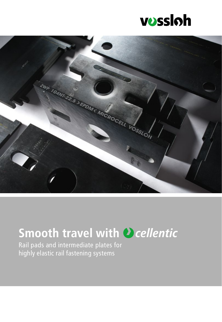



## **Smooth travel with** *D* **cellentic**

Rail pads and intermediate plates for highly elastic rail fastening systems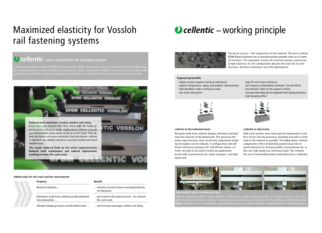# Maximized elasticity for Vossloh rail fastening systems

## *Cellentic* – more elasticity for rail fastening systems

*cellentic* is an elastomer made of EPDM that ensures high stability against many types of chemical attacks. The advantag he material provides excellent resistance to temperature, aging, and weather conditions as well as it is very stable und



**Added value for the track and the environment:**

ban rail, high-speed rail, and heavy haul). This involves the use of intermediate plates with elasticities  $\geq 8$  kN/mm.

![](_page_1_Picture_29.jpeg)

#### *cellentic* **in the ballasted track**

Rail pads made from *cellentic* dampen vibrations and optimize the elasticity of the ballast bed. This preserves the entire superstructure: wear on all track components including the ballast can be reduced. A configuration with different stiffnesses between 20–200 kN/mm allows *cellentic* rail pads to be used in nearly any application world-wide (conventional rail, urban transport, and highspeed rail).

![](_page_1_Picture_21.jpeg)

### *cellentic* **in slab tracks**

Slab track systems must meet special requirements to deflect forces into the ground as smoothly and with as little load on the material as possible. The highly elastic *cellentic* components of the rail fastening system ensure the required elasticity for all load profiles (conventional rail, ur-

![](_page_1_Picture_5.jpeg)

# *D* cellentic – working principle

![](_page_1_Picture_7.jpeg)

The key to success – the composition of the material: The micro-cellular EPDM-based elastomer has a saturated primary polymer chain as its chemical structure. The expanded, closed-cell structure ensures a particularly high elasticity. Its cell configuration absorbs the load into its own structure, therefore resulting in very little deformation.

### **Engineering benefits**

- · highly resistant against chemical substances
- · superior temperature, aging, and weather characteristics
- · high durability under continuous loads
- · low water absorption·
- 
- 

![](_page_1_Picture_16.jpeg)

· high UV and ozone resistance · low frequency-dependence between 1 Hz and 40 Hz · low dynamic loads on the support surface · increased ride safety due to integrated track tipping protection · high damping effect

![](_page_1_Picture_25.jpeg)

**Intermediate layers in endurance tests:** 

Different materials exhibit varying degrees of deformation under enormous loads, for instance during a train pass. **Left:** Based on its cell matrix, *cellentic* is able to absorb loads into its own structure and this exhibits very little deformation. **Right:** Solid rubber is non-compressible. Any deformation causes the rubber to expand in length and width, resulting in abrasion.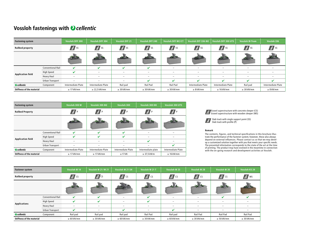## **Vossloh fastenings with**

| Fastening system                 |                          | Vossloh DFF 300                                                                                                                                                                                                                                                                                                                                                                               | <b>Vossloh DFF 304</b>   | <b>Vossloh DFF 21</b>    | Vossloh DFF 240            | <b>Vossloh DFF MC/CT</b> | Vossloh DFF 336 NG       | <b>Vossloh DFF 300 UTS</b>      | <b>Vossloh W-Tram</b>   | <b>Vossloh 336</b>       |
|----------------------------------|--------------------------|-----------------------------------------------------------------------------------------------------------------------------------------------------------------------------------------------------------------------------------------------------------------------------------------------------------------------------------------------------------------------------------------------|--------------------------|--------------------------|----------------------------|--------------------------|--------------------------|---------------------------------|-------------------------|--------------------------|
| <b>Railbed property</b>          |                          | $\frac{1}{2}$ ss                                                                                                                                                                                                                                                                                                                                                                              | $\frac{1}{2}$ ss         | $\sqrt{\frac{d}{d}}$ ss  | $\frac{1}{2}$ ss           | $\sqrt{\frac{4}{5}}$ SS  | $\sqrt{\frac{4}{5}}$ SS  | $\sqrt{\frac{d}{d}}$ SS         | $\sqrt{\frac{d}{d}}$ SS | $\frac{1}{2}$ ss         |
|                                  |                          | $\frac{1}{\sqrt{2}}\sum_{n=1}^{\infty}\frac{1}{n} \sum_{n=1}^{\infty}\frac{1}{n} \sum_{n=1}^{\infty}\frac{1}{n} \sum_{n=1}^{\infty}\frac{1}{n} \sum_{n=1}^{\infty}\frac{1}{n} \sum_{n=1}^{\infty}\frac{1}{n} \sum_{n=1}^{\infty}\frac{1}{n} \sum_{n=1}^{\infty}\frac{1}{n} \sum_{n=1}^{\infty}\frac{1}{n} \sum_{n=1}^{\infty}\frac{1}{n} \sum_{n=1}^{\infty}\frac{1}{n} \sum_{n=1}^{\infty}\$ |                          |                          |                            | <b>START</b>             |                          |                                 |                         |                          |
| <b>Application field</b>         | <b>Conventional Rail</b> | $\mathbf{v}$                                                                                                                                                                                                                                                                                                                                                                                  | V                        | ✔                        | $\boldsymbol{\mathcal{U}}$ | $\overline{\phantom{0}}$ | $\overline{\phantom{0}}$ | $\hspace{0.1mm}-\hspace{0.1mm}$ | $-$                     | -                        |
|                                  | High Speed               | $\boldsymbol{\mathcal{U}}$                                                                                                                                                                                                                                                                                                                                                                    | $\overline{\phantom{0}}$ | $\overline{\phantom{0}}$ | $-$                        | $\overline{\phantom{0}}$ | $\overline{\phantom{0}}$ | $\hspace{0.1mm}-\hspace{0.1mm}$ | $-$                     | $\overline{\phantom{0}}$ |
|                                  | Heavy Haul               | $\overline{\phantom{0}}$                                                                                                                                                                                                                                                                                                                                                                      | $\overline{\phantom{0}}$ | $\overline{\phantom{0}}$ | $-$                        | $\overline{\phantom{0}}$ | $\overline{\phantom{0}}$ | $\hspace{0.1mm}-\hspace{0.1mm}$ | $-$                     | $\overline{\phantom{0}}$ |
|                                  | Urban Transport          |                                                                                                                                                                                                                                                                                                                                                                                               | $\overline{\phantom{0}}$ | $\overline{\phantom{0}}$ | ✔                          | ✔                        | ✔                        | ✔                               | ✔                       | ✔                        |
| $\bullet$ cellentic              | Component                | Intermediate Plate                                                                                                                                                                                                                                                                                                                                                                            | Intermediate Plate       | Rail pad                 | Rail Pad                   | Rail Pad                 | Intermediate Plate       | Intermediate Plate              | Rail pad                | Intermediate Plate       |
| <b>Stiffness of the material</b> |                          | $\geq$ 17 kN/mm                                                                                                                                                                                                                                                                                                                                                                               | $\geq$ 22,5 kN/mm        | $\geq$ 30 kN/mm          | $\geq$ 30 kN/mm            | $\geq$ 30 kN/mm          | $\geq 8$ kN/mm           | $\geq 16$ kN/mm                 | $\geq$ 30 kN/mm         | $\geq$ 8 kN/mm           |

| <b>Fastener system</b>           |                          | Vossloh W 14             | <b>Vossloh W 21/W 21</b> | Vossloh W 21 SH          | Vossloh W 21 T           | Vossloh W 25             | Vossloh W 28             | Vossloh W 30             | <b>Vossloh KS 24</b>     |
|----------------------------------|--------------------------|--------------------------|--------------------------|--------------------------|--------------------------|--------------------------|--------------------------|--------------------------|--------------------------|
| <b>Railbed property</b>          |                          | $\frac{d}{dt}$ CS        | $\frac{d}{dt}$ cs        | $\frac{d}{dt}$ cs        | $\frac{d}{dt}$ CS        | $\frac{d}{dt}$ cs        | $\frac{d}{dt}$ CS        | $\frac{d}{dt}$ cs        | $\frac{d}{dt}$ ws        |
|                                  |                          |                          |                          |                          | ويك التي                 |                          |                          |                          | ويكافحوا                 |
| <b>Applications</b>              | <b>Conventional Rail</b> | $\mathbf v$              | V                        | $\overline{\phantom{a}}$ | ✔                        | $\overline{\phantom{m}}$ | $-$                      | ✔                        | V                        |
|                                  | High Speed               | $\checkmark$             | V                        | $\overline{\phantom{a}}$ | $\mathbf v$              | $\overline{\phantom{m}}$ | $-$                      | $\overline{\phantom{m}}$ | $\overline{\phantom{0}}$ |
|                                  | <b>Heavy Haul</b>        | $\overline{\phantom{a}}$ | $\overline{\phantom{0}}$ |                          |                          | $\overline{\phantom{m}}$ | $\overline{\phantom{0}}$ |                          |                          |
|                                  | <b>Urban Transport</b>   | $\mathbf v$              | $-$                      | $\mathbf{v}$             | $\overline{\phantom{0}}$ | ✔                        |                          | $\overline{\phantom{m}}$ |                          |
| $\bullet$ cellentic              | Component                | Rail pad                 | Rail pad                 | Rail pad                 | Rail Pad                 | Rail pad                 | Rail Pad                 | Rail Pad                 | Rail Pad                 |
| <b>Stiffness of the material</b> |                          | $\geq 60$ kN/mm          | $\geq$ 30 kN/mm          | $\geq 60$ kN/mm          | $\geq$ 30 kN/mm          | $\geq 60$ kN/mm          | $\geq$ 30 kN/mm          | $\geq 50$ kN/mm          | $\geq$ 30 kN/mm          |

![](_page_2_Picture_9.jpeg)

| <b>Fastening system</b>          |                          | Vossloh 300 W      | Vossloh 300 NG     | Vossloh 300                      | Vossloh 300 HH            | Vossloh 300 UTS      |  |
|----------------------------------|--------------------------|--------------------|--------------------|----------------------------------|---------------------------|----------------------|--|
| <b>Railbed Property</b>          |                          | $\n  A\n$          | $\mathbb{Z}/P$     | $\mathbb{Z}/P$                   | $\mathbf{A}$ $\mathbf{P}$ | $\boxed{\mathbf{A}}$ |  |
|                                  |                          |                    |                    |                                  |                           |                      |  |
|                                  | <b>Conventional Rail</b> | $\boldsymbol{\nu}$ | V                  | ✔                                |                           |                      |  |
|                                  | <b>High Speed</b>        | $\boldsymbol{\nu}$ | V                  | ✔                                |                           |                      |  |
| <b>Application field</b>         | <b>Heavy Haul</b>        |                    |                    |                                  | ✔                         |                      |  |
|                                  | Urban Transport          |                    |                    |                                  |                           | $\mathbf{v}$         |  |
| <b>O</b> cellentic               | Component                | Intermediate Plate | Intermediate Plate | Intermediate Plate               | Intermediate plate        | Intermediate Plate   |  |
| <b>Stiffness of the material</b> |                          | $\geq$ 17 kN/mm    | $\geq$ 17 kN/mm    | $\geq$ 17 kN<br>$\geq$ 37,5 kN/m |                           | $\geq 16$ kN/mm      |  |

#### **Remark**

The contents, figures, and technical specifications in this brochure illustrate the performance of the fastener system; however, these also always depend on external influences. Please contact us so that we may develop a customized solution together with you that meets your specific needs. The presented information corresponds to the state of the art at the time of printing. The product may have evolved in the meantime in connection with the on-going research and development activities at Vossloh.

Slab track with single support point (SS) Slab track with profile (P)

Gravel superstructure with concrete sleeper (CS) Gravel superstructure with wooden sleeper (WS)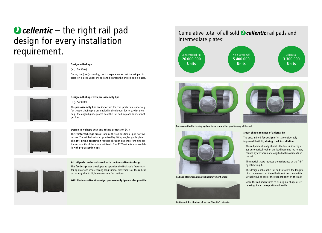# $\bullet$  cellentic – the right rail pad design for every installation requirement.

![](_page_3_Picture_1.jpeg)

### **Design in H-shape**

### (e.g. Zw 900a)

During the (pre-)assembly, the H-shape ensures that the rail pad is correctly placed under the rail and between the angled guide plates.

![](_page_3_Picture_5.jpeg)

### **Design in H-shape with pre-assembly lips**

![](_page_3_Figure_7.jpeg)

The **pre-assembly lips** are important for transportation, especially for sleepers being pre-assembled in the sleeper factory: with their help, the angled guide plates hold the rail pad in place so it cannot get lost.

![](_page_3_Picture_9.jpeg)

#### **Design in H-shape with anti tilting protection (AT)**

The **reinforced edge** areas stabilize the rail position e.g. in narrow curves. The rail behavior is optimized by fitting angled guide plates. The **anti tilting protection** reduces abrasion and therefore extends the service life of the whole rail track. The AT-Version is also available with **pre-assembly lips**.

#### **All rail pads can be delivered with the innovative** *fin***-design.**

The *fin***-design** was developed to optimize the H-shape's features – for applications where strong longitudinal movements of the rail can occur, e.g. due to high temperature fluctuations.

**With the innovative** *fin***-design, pre-assembly lips are also possible.**

![](_page_3_Figure_16.jpeg)

![](_page_3_Picture_17.jpeg)

#### **Smart shape: reminds of a dorsal fin**

The streamlined *fin***-design** offers a considerably improved flexibility **during track installation**:

• The rail pad optimally absorbs the forces: it recognizes automatically when the load becomes too heavy, caused by extraordinary longitudinal movements of

- the rail.
- 
- 

• The special shape reduces the resistance at the "fin" by retracting it.

• The design enables the rail pad to follow the longitudinal movements of the rail without resistance (it is virtually pulled out of the support point by the rail).

• Since the rail pad returns to its original shape after relaxing, it can be repositioned easily.

**Pre-assembled fastening system before and after positioning of the rail**

![](_page_3_Picture_19.jpeg)

**Rail pad after strong longitudinal movement of rail**

![](_page_3_Picture_21.jpeg)

**Optimized distribution of forces: The "fin" retracts.**